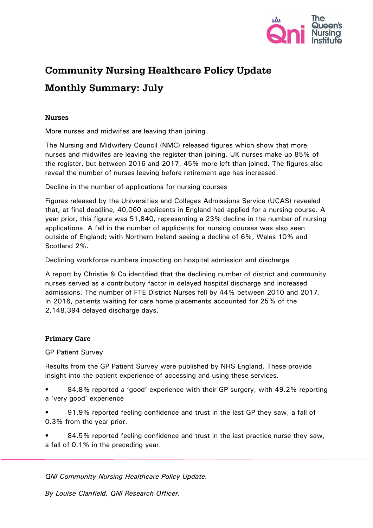

# **Community Nursing Healthcare Policy Update**

# **Monthly Summary: July**

# **Nurses**

More nurses and midwifes are leaving than joining

The Nursing and Midwifery Council (NMC) released figures which show that more nurses and midwifes are leaving the register than joining. UK nurses make up 85% of the register, but between 2016 and 2017, 45% more left than joined. The figures also reveal the number of nurses leaving before retirement age has increased.

Decline in the number of applications for nursing courses

Figures released by the Universities and Colleges Admissions Service (UCAS) revealed that, at final deadline, 40,060 applicants in England had applied for a nursing course. A year prior, this figure was 51,840, representing a 23% decline in the number of nursing applications. A fall in the number of applicants for nursing courses was also seen outside of England; with Northern Ireland seeing a decline of 6%, Wales 10% and Scotland 2%.

Declining workforce numbers impacting on hospital admission and discharge

A report by Christie & Co identified that the declining number of district and community nurses served as a contributory factor in delayed hospital discharge and increased admissions. The number of FTE District Nurses fell by 44% between 2010 and 2017. In 2016, patients waiting for care home placements accounted for 25% of the 2,148,394 delayed discharge days.

# **Primary Care**

# GP Patient Survey

Results from the GP Patient Survey were published by NHS England. These provide insight into the patient experience of accessing and using these services.

- 84.8% reported a 'good' experience with their GP surgery, with 49.2% reporting a 'very good' experience
- 91.9% reported feeling confidence and trust in the last GP they saw, a fall of 0.3% from the year prior.
- 84.5% reported feeling confidence and trust in the last practice nurse they saw, a fall of 0.1% in the preceding year.

*QNI Community Nursing Healthcare Policy Update.*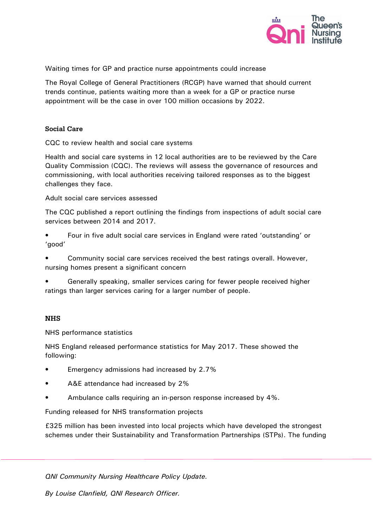

Waiting times for GP and practice nurse appointments could increase

The Royal College of General Practitioners (RCGP) have warned that should current trends continue, patients waiting more than a week for a GP or practice nurse appointment will be the case in over 100 million occasions by 2022.

### Social Care

CQC to review health and social care systems

Health and social care systems in 12 local authorities are to be reviewed by the Care Quality Commission (CQC). The reviews will assess the governance of resources and commissioning, with local authorities receiving tailored responses as to the biggest challenges they face.

Adult social care services assessed

The CQC published a report outlining the findings from inspections of adult social care services between 2014 and 2017.

• Four in five adult social care services in England were rated 'outstanding' or 'good'

• Community social care services received the best ratings overall. However, nursing homes present a significant concern

• Generally speaking, smaller services caring for fewer people received higher ratings than larger services caring for a larger number of people.

## **NHS**

NHS performance statistics

NHS England released performance statistics for May 2017. These showed the following:

- Emergency admissions had increased by 2.7%
- A&E attendance had increased by 2%
- Ambulance calls requiring an in-person response increased by 4%.

Funding released for NHS transformation projects

£325 million has been invested into local projects which have developed the strongest schemes under their Sustainability and Transformation Partnerships (STPs). The funding

*QNI Community Nursing Healthcare Policy Update.*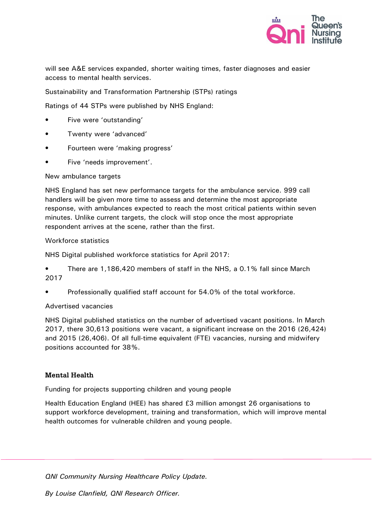

will see A&E services expanded, shorter waiting times, faster diagnoses and easier access to mental health services.

Sustainability and Transformation Partnership (STPs) ratings

Ratings of 44 STPs were published by NHS England:

- Five were 'outstanding'
- Twenty were 'advanced'
- Fourteen were 'making progress'
- Five 'needs improvement'.

#### New ambulance targets

NHS England has set new performance targets for the ambulance service. 999 call handlers will be given more time to assess and determine the most appropriate response, with ambulances expected to reach the most critical patients within seven minutes. Unlike current targets, the clock will stop once the most appropriate respondent arrives at the scene, rather than the first.

#### Workforce statistics

NHS Digital published workforce statistics for April 2017:

• There are 1,186,420 members of staff in the NHS, a 0.1% fall since March 2017

• Professionally qualified staff account for 54.0% of the total workforce.

#### Advertised vacancies

NHS Digital published statistics on the number of advertised vacant positions. In March 2017, there 30,613 positions were vacant, a significant increase on the 2016 (26,424) and 2015 (26,406). Of all full-time equivalent (FTE) vacancies, nursing and midwifery positions accounted for 38%.

#### **Mental Health**

Funding for projects supporting children and young people

Health Education England (HEE) has shared £3 million amongst 26 organisations to support workforce development, training and transformation, which will improve mental health outcomes for vulnerable children and young people.

*QNI Community Nursing Healthcare Policy Update.*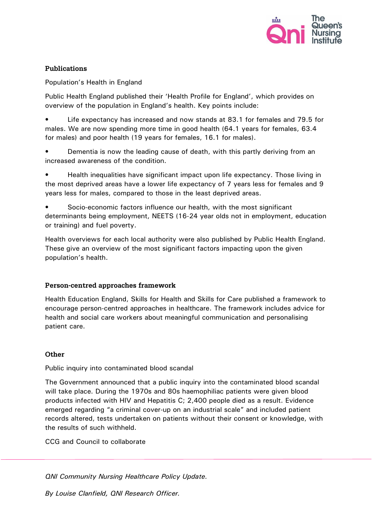

## **Publications**

Population's Health in England

Public Health England published their 'Health Profile for England', which provides on overview of the population in England's health. Key points include:

Life expectancy has increased and now stands at 83.1 for females and 79.5 for males. We are now spending more time in good health (64.1 years for females, 63.4 for males) and poor health (19 years for females, 16.1 for males).

• Dementia is now the leading cause of death, with this partly deriving from an increased awareness of the condition.

• Health inequalities have significant impact upon life expectancy. Those living in the most deprived areas have a lower life expectancy of 7 years less for females and 9 years less for males, compared to those in the least deprived areas.

• Socio-economic factors influence our health, with the most significant determinants being employment, NEETS (16-24 year olds not in employment, education or training) and fuel poverty.

Health overviews for each local authority were also published by Public Health England. These give an overview of the most significant factors impacting upon the given population's health.

## Person-centred approaches framework

Health Education England, Skills for Health and Skills for Care published a framework to encourage person-centred approaches in healthcare. The framework includes advice for health and social care workers about meaningful communication and personalising patient care.

# Other

Public inquiry into contaminated blood scandal

The Government announced that a public inquiry into the contaminated blood scandal will take place. During the 1970s and 80s haemophiliac patients were given blood products infected with HIV and Hepatitis C; 2,400 people died as a result. Evidence emerged regarding "a criminal cover-up on an industrial scale" and included patient records altered, tests undertaken on patients without their consent or knowledge, with the results of such withheld.

CCG and Council to collaborate

*QNI Community Nursing Healthcare Policy Update.*